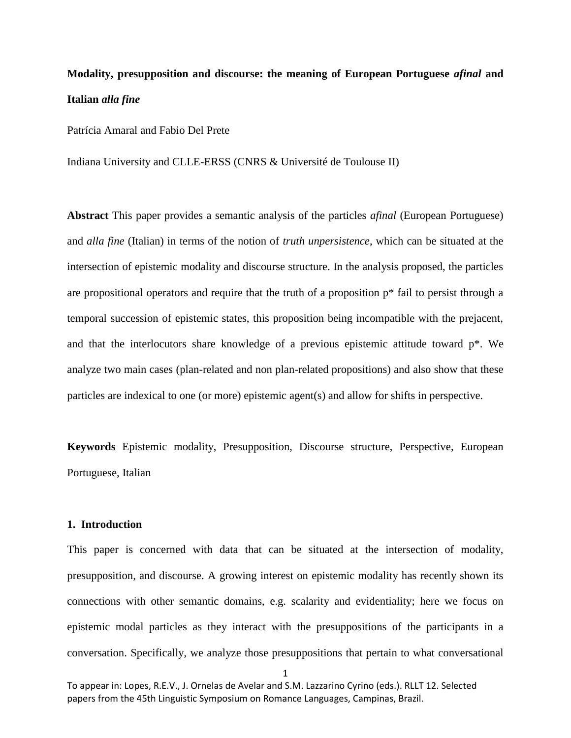# **Modality, presupposition and discourse: the meaning of European Portuguese** *afinal* **and Italian** *alla fine*

Patrícia Amaral and Fabio Del Prete

Indiana University and CLLE-ERSS (CNRS & Université de Toulouse II)

**Abstract** This paper provides a semantic analysis of the particles *afinal* (European Portuguese) and *alla fine* (Italian) in terms of the notion of *truth unpersistence*, which can be situated at the intersection of epistemic modality and discourse structure. In the analysis proposed, the particles are propositional operators and require that the truth of a proposition  $p^*$  fail to persist through a temporal succession of epistemic states, this proposition being incompatible with the prejacent, and that the interlocutors share knowledge of a previous epistemic attitude toward p\*. We analyze two main cases (plan-related and non plan-related propositions) and also show that these particles are indexical to one (or more) epistemic agent(s) and allow for shifts in perspective.

**Keywords** Epistemic modality, Presupposition, Discourse structure, Perspective, European Portuguese, Italian

## **1. Introduction**

This paper is concerned with data that can be situated at the intersection of modality, presupposition, and discourse. A growing interest on epistemic modality has recently shown its connections with other semantic domains, e.g. scalarity and evidentiality; here we focus on epistemic modal particles as they interact with the presuppositions of the participants in a conversation. Specifically, we analyze those presuppositions that pertain to what conversational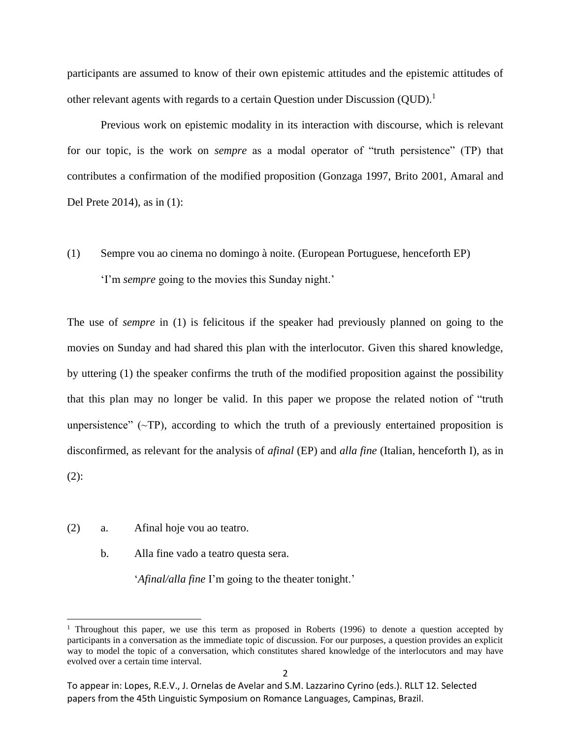participants are assumed to know of their own epistemic attitudes and the epistemic attitudes of other relevant agents with regards to a certain Question under Discussion  $(QUD)^{1}$ .

Previous work on epistemic modality in its interaction with discourse, which is relevant for our topic, is the work on *sempre* as a modal operator of "truth persistence" (TP) that contributes a confirmation of the modified proposition (Gonzaga 1997, Brito 2001, Amaral and Del Prete 2014), as in (1):

(1) Sempre vou ao cinema no domingo à noite. (European Portuguese, henceforth EP) 'I'm *sempre* going to the movies this Sunday night.'

The use of *sempre* in (1) is felicitous if the speaker had previously planned on going to the movies on Sunday and had shared this plan with the interlocutor. Given this shared knowledge, by uttering (1) the speaker confirms the truth of the modified proposition against the possibility that this plan may no longer be valid. In this paper we propose the related notion of "truth unpersistence"  $(\sim T$ P), according to which the truth of a previously entertained proposition is disconfirmed, as relevant for the analysis of *afinal* (EP) and *alla fine* (Italian, henceforth I), as in (2):

(2) a. Afinal hoje vou ao teatro.

l

b. Alla fine vado a teatro questa sera.

'*Afinal/alla fine* I'm going to the theater tonight.'

<sup>&</sup>lt;sup>1</sup> Throughout this paper, we use this term as proposed in Roberts (1996) to denote a question accepted by participants in a conversation as the immediate topic of discussion. For our purposes, a question provides an explicit way to model the topic of a conversation, which constitutes shared knowledge of the interlocutors and may have evolved over a certain time interval.

To appear in: Lopes, R.E.V., J. Ornelas de Avelar and S.M. Lazzarino Cyrino (eds.). RLLT 12. Selected papers from the 45th Linguistic Symposium on Romance Languages, Campinas, Brazil.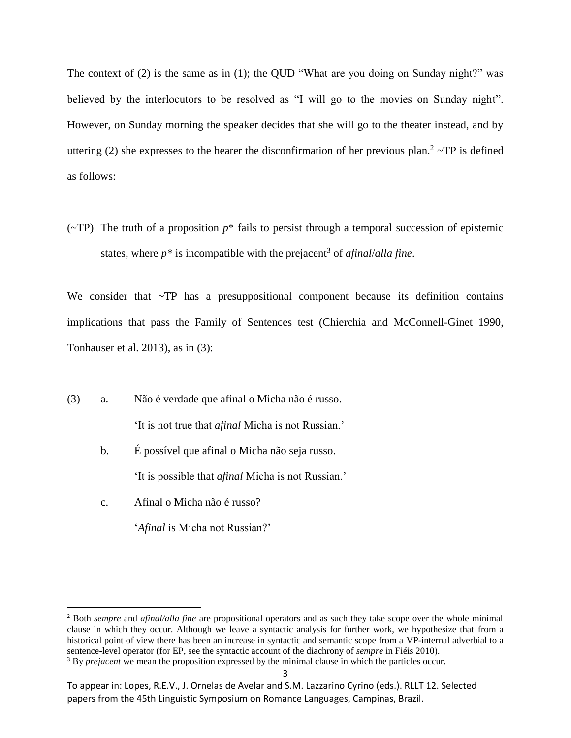The context of (2) is the same as in (1); the QUD "What are you doing on Sunday night?" was believed by the interlocutors to be resolved as "I will go to the movies on Sunday night". However, on Sunday morning the speaker decides that she will go to the theater instead, and by uttering (2) she expresses to the hearer the disconfirmation of her previous plan.<sup>2</sup>  $\sim$ TP is defined as follows:

( $\sim$ TP) The truth of a proposition  $p^*$  fails to persist through a temporal succession of epistemic states, where  $p^*$  is incompatible with the prejacent<sup>3</sup> of *afinal/alla fine*.

We consider that ~TP has a presuppositional component because its definition contains implications that pass the Family of Sentences test (Chierchia and McConnell-Ginet 1990, Tonhauser et al. 2013), as in (3):

- (3) a. Não é verdade que afinal o Micha não é russo. 'It is not true that *afinal* Micha is not Russian.'
	- b. É possível que afinal o Micha não seja russo. 'It is possible that *afinal* Micha is not Russian.'
	- c. Afinal o Micha não é russo?

 $\overline{\phantom{a}}$ 

'*Afinal* is Micha not Russian?'

<sup>2</sup> Both *sempre* and *afinal/alla fine* are propositional operators and as such they take scope over the whole minimal clause in which they occur. Although we leave a syntactic analysis for further work, we hypothesize that from a historical point of view there has been an increase in syntactic and semantic scope from a VP-internal adverbial to a sentence-level operator (for EP, see the syntactic account of the diachrony of *sempre* in Fiéis 2010).

<sup>&</sup>lt;sup>3</sup> By *prejacent* we mean the proposition expressed by the minimal clause in which the particles occur.

To appear in: Lopes, R.E.V., J. Ornelas de Avelar and S.M. Lazzarino Cyrino (eds.). RLLT 12. Selected papers from the 45th Linguistic Symposium on Romance Languages, Campinas, Brazil.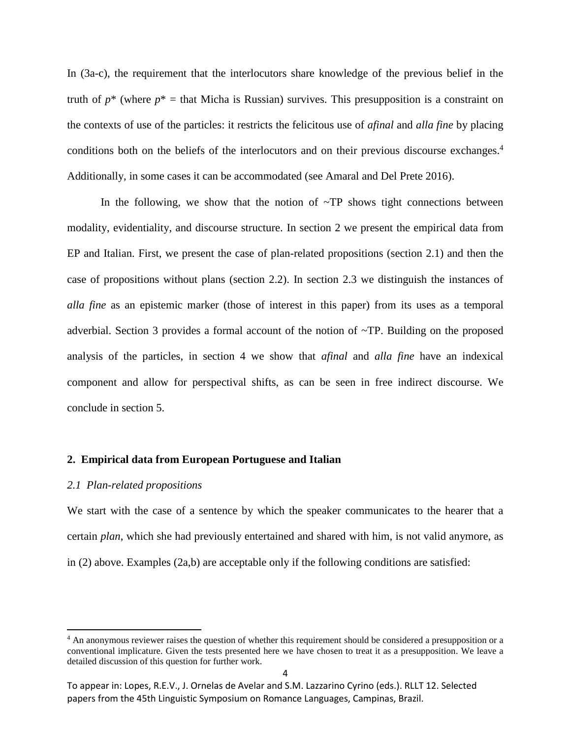In (3a-c), the requirement that the interlocutors share knowledge of the previous belief in the truth of  $p^*$  (where  $p^*$  = that Micha is Russian) survives. This presupposition is a constraint on the contexts of use of the particles: it restricts the felicitous use of *afinal* and *alla fine* by placing conditions both on the beliefs of the interlocutors and on their previous discourse exchanges. 4 Additionally, in some cases it can be accommodated (see Amaral and Del Prete 2016).

In the following, we show that the notion of  $\sim TP$  shows tight connections between modality, evidentiality, and discourse structure. In section 2 we present the empirical data from EP and Italian. First, we present the case of plan-related propositions (section 2.1) and then the case of propositions without plans (section 2.2). In section 2.3 we distinguish the instances of *alla fine* as an epistemic marker (those of interest in this paper) from its uses as a temporal adverbial. Section 3 provides a formal account of the notion of ~TP. Building on the proposed analysis of the particles, in section 4 we show that *afinal* and *alla fine* have an indexical component and allow for perspectival shifts, as can be seen in free indirect discourse. We conclude in section 5.

## **2. Empirical data from European Portuguese and Italian**

#### *2.1 Plan-related propositions*

 $\overline{a}$ 

We start with the case of a sentence by which the speaker communicates to the hearer that a certain *plan*, which she had previously entertained and shared with him, is not valid anymore, as in (2) above. Examples (2a,b) are acceptable only if the following conditions are satisfied:

<sup>&</sup>lt;sup>4</sup> An anonymous reviewer raises the question of whether this requirement should be considered a presupposition or a conventional implicature. Given the tests presented here we have chosen to treat it as a presupposition. We leave a detailed discussion of this question for further work.

To appear in: Lopes, R.E.V., J. Ornelas de Avelar and S.M. Lazzarino Cyrino (eds.). RLLT 12. Selected papers from the 45th Linguistic Symposium on Romance Languages, Campinas, Brazil.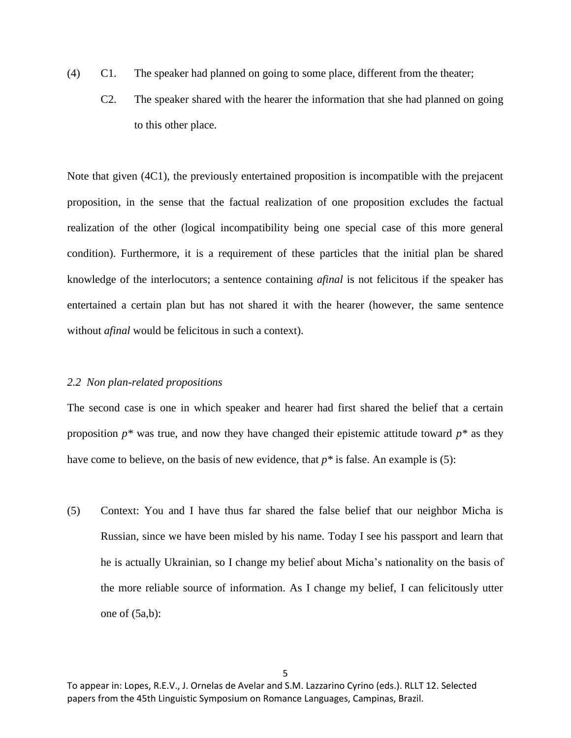- (4) C1. The speaker had planned on going to some place, different from the theater;
	- C2. The speaker shared with the hearer the information that she had planned on going to this other place.

Note that given (4C1), the previously entertained proposition is incompatible with the prejacent proposition, in the sense that the factual realization of one proposition excludes the factual realization of the other (logical incompatibility being one special case of this more general condition). Furthermore, it is a requirement of these particles that the initial plan be shared knowledge of the interlocutors; a sentence containing *afinal* is not felicitous if the speaker has entertained a certain plan but has not shared it with the hearer (however, the same sentence without *afinal* would be felicitous in such a context).

## *2.2 Non plan-related propositions*

The second case is one in which speaker and hearer had first shared the belief that a certain proposition  $p^*$  was true, and now they have changed their epistemic attitude toward  $p^*$  as they have come to believe, on the basis of new evidence, that *p\** is false. An example is (5):

(5) Context: You and I have thus far shared the false belief that our neighbor Micha is Russian, since we have been misled by his name. Today I see his passport and learn that he is actually Ukrainian, so I change my belief about Micha's nationality on the basis of the more reliable source of information. As I change my belief, I can felicitously utter one of (5a,b):

To appear in: Lopes, R.E.V., J. Ornelas de Avelar and S.M. Lazzarino Cyrino (eds.). RLLT 12. Selected papers from the 45th Linguistic Symposium on Romance Languages, Campinas, Brazil.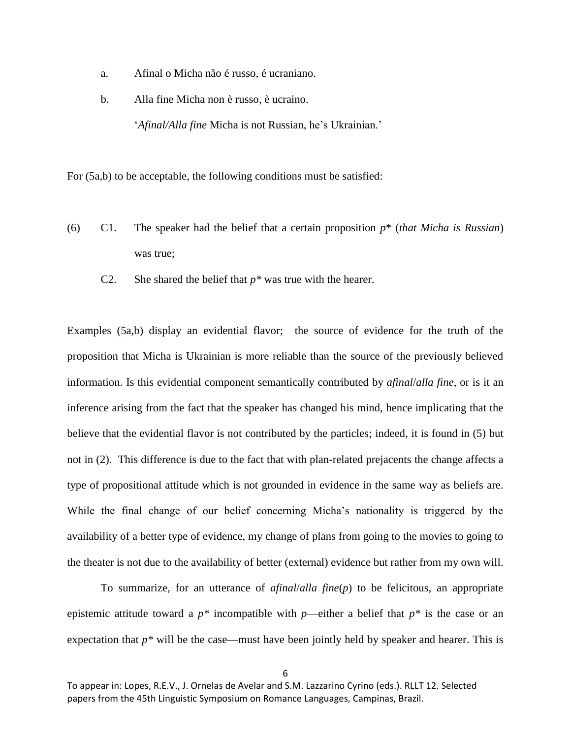- a. Afinal o Micha não é russo, é ucraniano.
- b. Alla fine Micha non è russo, è ucraino.

'*Afinal/Alla fine* Micha is not Russian, he's Ukrainian.'

For (5a,b) to be acceptable, the following conditions must be satisfied:

- (6) C1. The speaker had the belief that a certain proposition *p*\* (*that Micha is Russian*) was true;
	- C2. She shared the belief that  $p^*$  was true with the hearer.

Examples (5a,b) display an evidential flavor; the source of evidence for the truth of the proposition that Micha is Ukrainian is more reliable than the source of the previously believed information. Is this evidential component semantically contributed by *afinal*/*alla fine*, or is it an inference arising from the fact that the speaker has changed his mind, hence implicating that the believe that the evidential flavor is not contributed by the particles; indeed, it is found in (5) but not in (2). This difference is due to the fact that with plan-related prejacents the change affects a type of propositional attitude which is not grounded in evidence in the same way as beliefs are. While the final change of our belief concerning Micha's nationality is triggered by the availability of a better type of evidence, my change of plans from going to the movies to going to the theater is not due to the availability of better (external) evidence but rather from my own will.

To summarize, for an utterance of *afinal*/*alla fine*(*p*) to be felicitous, an appropriate epistemic attitude toward a  $p^*$  incompatible with  $p$ —either a belief that  $p^*$  is the case or an expectation that  $p^*$  will be the case—must have been jointly held by speaker and hearer. This is

To appear in: Lopes, R.E.V., J. Ornelas de Avelar and S.M. Lazzarino Cyrino (eds.). RLLT 12. Selected papers from the 45th Linguistic Symposium on Romance Languages, Campinas, Brazil.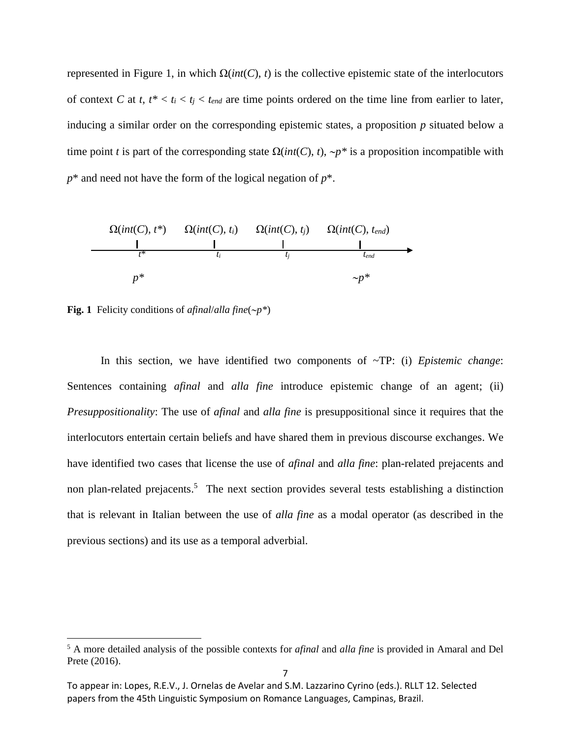represented in Figure 1, in which Ω(*int*(*C*), *t*) is the collective epistemic state of the interlocutors of context *C* at *t*,  $t^* < t_i < t_{end}$  are time points ordered on the time line from earlier to later, inducing a similar order on the corresponding epistemic states, a proposition *p* situated below a time point *t* is part of the corresponding state  $\Omega(int(C), t)$ ,  $\neg p^*$  is a proposition incompatible with  $p^*$  and need not have the form of the logical negation of  $p^*$ .



**Fig. 1** Felicity conditions of *afinal*/*alla fine*(*p\**)

 $\overline{\phantom{a}}$ 

In this section, we have identified two components of ~TP: (i) *Epistemic change*: Sentences containing *afinal* and *alla fine* introduce epistemic change of an agent; (ii) *Presuppositionality*: The use of *afinal* and *alla fine* is presuppositional since it requires that the interlocutors entertain certain beliefs and have shared them in previous discourse exchanges. We have identified two cases that license the use of *afinal* and *alla fine*: plan-related prejacents and non plan-related prejacents.<sup>5</sup> The next section provides several tests establishing a distinction that is relevant in Italian between the use of *alla fine* as a modal operator (as described in the previous sections) and its use as a temporal adverbial.

<sup>5</sup> A more detailed analysis of the possible contexts for *afinal* and *alla fine* is provided in Amaral and Del Prete (2016).

To appear in: Lopes, R.E.V., J. Ornelas de Avelar and S.M. Lazzarino Cyrino (eds.). RLLT 12. Selected papers from the 45th Linguistic Symposium on Romance Languages, Campinas, Brazil.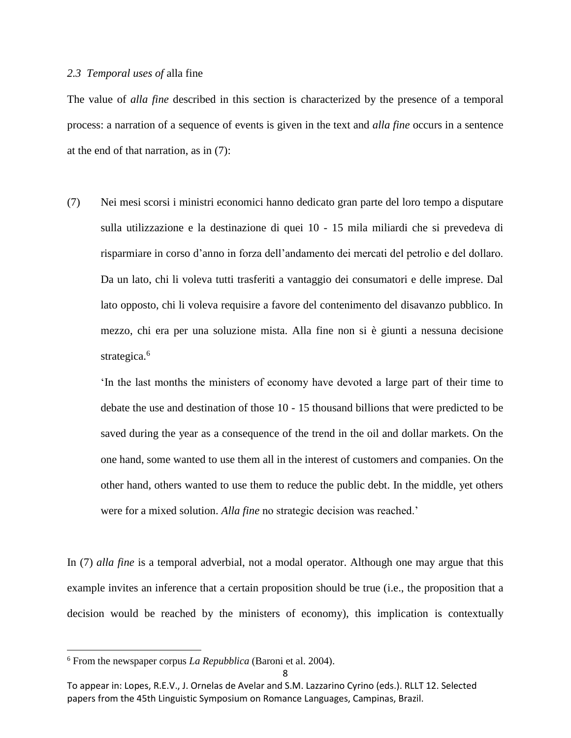#### *2.3 Temporal uses of* alla fine

The value of *alla fine* described in this section is characterized by the presence of a temporal process: a narration of a sequence of events is given in the text and *alla fine* occurs in a sentence at the end of that narration, as in (7):

(7) Nei mesi scorsi i ministri economici hanno dedicato gran parte del loro tempo a disputare sulla utilizzazione e la destinazione di quei 10 - 15 mila miliardi che si prevedeva di risparmiare in corso d'anno in forza dell'andamento dei mercati del petrolio e del dollaro. Da un lato, chi li voleva tutti trasferiti a vantaggio dei consumatori e delle imprese. Dal lato opposto, chi li voleva requisire a favore del contenimento del disavanzo pubblico. In mezzo, chi era per una soluzione mista. Alla fine non si è giunti a nessuna decisione strategica.<sup>6</sup>

'In the last months the ministers of economy have devoted a large part of their time to debate the use and destination of those 10 - 15 thousand billions that were predicted to be saved during the year as a consequence of the trend in the oil and dollar markets. On the one hand, some wanted to use them all in the interest of customers and companies. On the other hand, others wanted to use them to reduce the public debt. In the middle, yet others were for a mixed solution. *Alla fine* no strategic decision was reached.'

In (7) *alla fine* is a temporal adverbial, not a modal operator. Although one may argue that this example invites an inference that a certain proposition should be true (i.e., the proposition that a decision would be reached by the ministers of economy), this implication is contextually

 $\overline{a}$ 

<sup>6</sup> From the newspaper corpus *La Repubblica* (Baroni et al. 2004).

To appear in: Lopes, R.E.V., J. Ornelas de Avelar and S.M. Lazzarino Cyrino (eds.). RLLT 12. Selected papers from the 45th Linguistic Symposium on Romance Languages, Campinas, Brazil.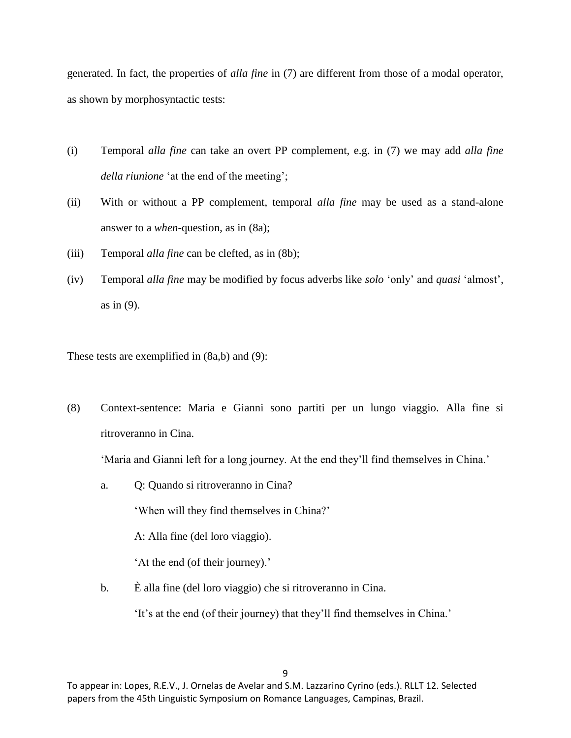generated. In fact, the properties of *alla fine* in (7) are different from those of a modal operator, as shown by morphosyntactic tests:

- (i) Temporal *alla fine* can take an overt PP complement, e.g. in (7) we may add *alla fine della riunione* 'at the end of the meeting';
- (ii) With or without a PP complement, temporal *alla fine* may be used as a stand-alone answer to a *when*-question, as in (8a);
- (iii) Temporal *alla fine* can be clefted, as in (8b);
- (iv) Temporal *alla fine* may be modified by focus adverbs like *solo* 'only' and *quasi* 'almost', as in (9).

These tests are exemplified in (8a,b) and (9):

(8) Context-sentence: Maria e Gianni sono partiti per un lungo viaggio. Alla fine si ritroveranno in Cina.

'Maria and Gianni left for a long journey. At the end they'll find themselves in China.'

a. Q: Quando si ritroveranno in Cina?

'When will they find themselves in China?'

A: Alla fine (del loro viaggio).

'At the end (of their journey).'

b. È alla fine (del loro viaggio) che si ritroveranno in Cina.

'It's at the end (of their journey) that they'll find themselves in China.'

To appear in: Lopes, R.E.V., J. Ornelas de Avelar and S.M. Lazzarino Cyrino (eds.). RLLT 12. Selected papers from the 45th Linguistic Symposium on Romance Languages, Campinas, Brazil.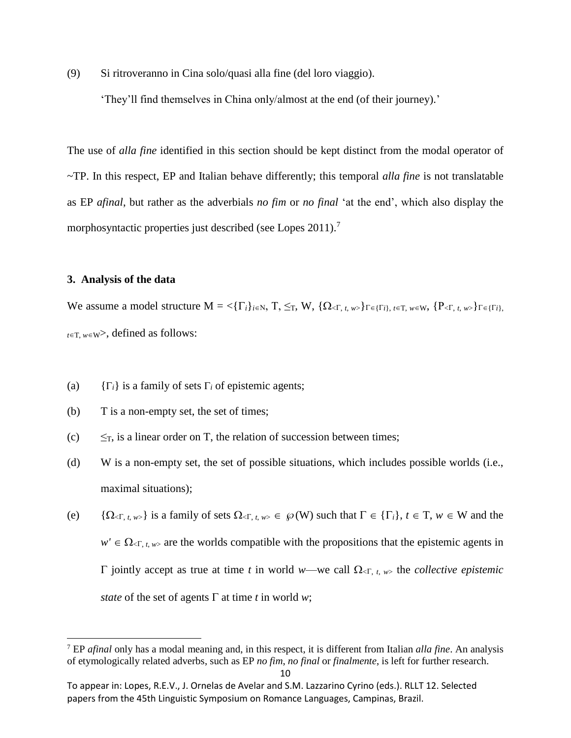(9) Si ritroveranno in Cina solo/quasi alla fine (del loro viaggio).

'They'll find themselves in China only/almost at the end (of their journey).'

The use of *alla fine* identified in this section should be kept distinct from the modal operator of ~TP. In this respect, EP and Italian behave differently; this temporal *alla fine* is not translatable as EP *afinal*, but rather as the adverbials *no fim* or *no final* 'at the end', which also display the morphosyntactic properties just described (see Lopes  $2011$ ).<sup>7</sup>

### **3. Analysis of the data**

 $\overline{\phantom{a}}$ 

We assume a model structure  $M = \langle \{ \Gamma_i \}_{i \in \mathbb{N}}, T \rangle \leq_T, W \rangle, \{ \Omega_{\langle \Gamma, t, w \rangle} \}_{\Gamma \in \{ \Gamma_i \}, t \in T, w \in \mathbb{W}}, \{ P_{\langle \Gamma, t, w \rangle} \}_{\Gamma \in \{ \Gamma_i \}, t \in T} \rangle$  $t \in T$ ,  $w \in W$ , defined as follows:

- (a)  ${i\in\{i\}}$  is a family of sets  $\Gamma_i$  of epistemic agents;
- (b) T is a non-empty set, the set of times;
- (c)  $\leq_T$ , is a linear order on T, the relation of succession between times;
- (d) W is a non-empty set, the set of possible situations, which includes possible worlds (i.e., maximal situations);
- (e)  $\{\Omega_{\leq \Gamma, t, w\geq 0}\}\)$  is a family of sets  $\Omega_{\leq \Gamma, t, w>0} \in \mathcal{P}(W)$  such that  $\Gamma \in {\Gamma_i}, t \in \Gamma, w \in W$  and the  $w' \in \Omega_{\leq T, t, w>}$  are the worlds compatible with the propositions that the epistemic agents in  $\Gamma$  jointly accept as true at time *t* in world *w*—we call  $\Omega_{\leq \Gamma, t, w>}$  the *collective epistemic state* of the set of agents  $\Gamma$  at time *t* in world *w*;

<sup>7</sup> EP *afinal* only has a modal meaning and, in this respect, it is different from Italian *alla fine*. An analysis of etymologically related adverbs, such as EP *no fim*, *no final* or *finalmente*, is left for further research.

To appear in: Lopes, R.E.V., J. Ornelas de Avelar and S.M. Lazzarino Cyrino (eds.). RLLT 12. Selected papers from the 45th Linguistic Symposium on Romance Languages, Campinas, Brazil.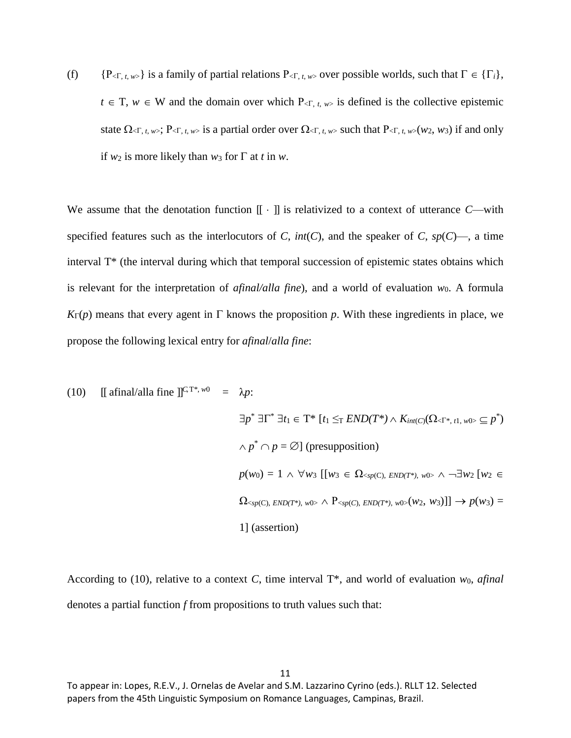(f)  $\{P_{\leq T, t, w>\}}\$  is a family of partial relations  $P_{\leq T, t, w>}$  over possible worlds, such that  $\Gamma \in \{\Gamma_i\},\$  $t \in T$ ,  $w \in W$  and the domain over which  $P_{\leq T, t, w>}$  is defined is the collective epistemic state  $\Omega_{\leq T, t, w}$ ;  $P_{\leq T, t, w>}$  is a partial order over  $\Omega_{\leq T, t, w>}$  such that  $P_{\leq T, t, w>}$  ( $w_2, w_3$ ) if and only if  $w_2$  is more likely than  $w_3$  for  $\Gamma$  at *t* in  $w$ .

We assume that the denotation function  $\llbracket \cdot \rrbracket$  is relativized to a context of utterance *C*—with specified features such as the interlocutors of *C*,  $int(C)$ , and the speaker of *C*,  $sp(C)$ , a time interval T\* (the interval during which that temporal succession of epistemic states obtains which is relevant for the interpretation of *afinal/alla fine*), and a world of evaluation *w*0. A formula  $K_{\Gamma}(p)$  means that every agent in  $\Gamma$  knows the proposition p. With these ingredients in place, we propose the following lexical entry for *afinal*/*alla fine*:

(10) [[ afinal/alla fine ]]
$$
\int_{0}^{C} T^{*}, w_0
$$
 =  $\lambda p$ :  
\n
$$
\exists p^* \exists \Gamma^* \exists t_1 \in T^* \left[ t_1 \leq_T END(T^*) \wedge K_{int(C)}(\Omega_{\leq T^*, t_1, w_0, \leq p^*)} \right]
$$
\n
$$
\wedge p^* \cap p = \emptyset \text{ (presupposition)}
$$
\n
$$
p(w_0) = 1 \wedge \forall w_3 \left[ [w_3 \in \Omega_{\leq sp(C), END(T^*), w_0, \wedge \neg \exists w_2 [w_2 \in \Omega_{\leq sp(C), END(T^*), w_0, \wedge P_{\leq sp(C), END(T^*), w_0, \vee w_2, w_3}]] \right] \rightarrow p(w_3) = 1 \text{ (assertion)}
$$

According to (10), relative to a context *C*, time interval T\*, and world of evaluation *w*0, *afinal* denotes a partial function *f* from propositions to truth values such that:

To appear in: Lopes, R.E.V., J. Ornelas de Avelar and S.M. Lazzarino Cyrino (eds.). RLLT 12. Selected papers from the 45th Linguistic Symposium on Romance Languages, Campinas, Brazil.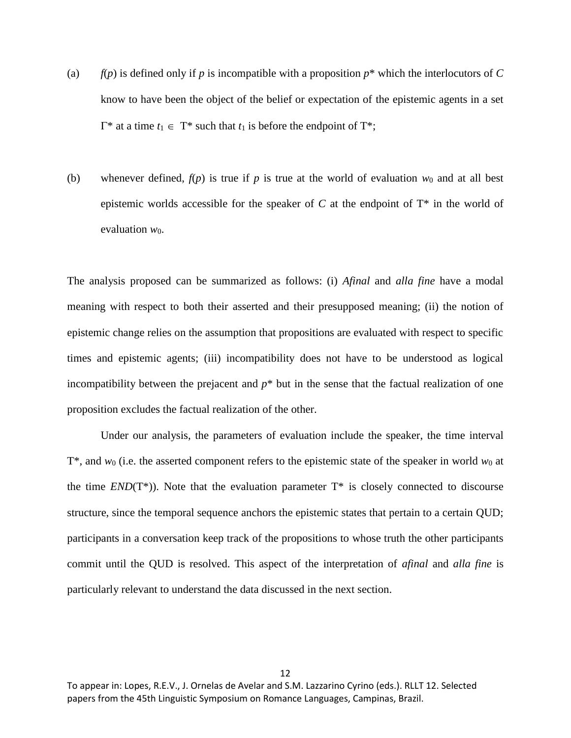- (a)  $f(p)$  is defined only if p is incompatible with a proposition  $p^*$  which the interlocutors of C know to have been the object of the belief or expectation of the epistemic agents in a set  $\Gamma^*$  at a time  $t_1 \in \Gamma^*$  such that  $t_1$  is before the endpoint of  $\Gamma^*$ ;
- (b) whenever defined,  $f(p)$  is true if p is true at the world of evaluation  $w_0$  and at all best epistemic worlds accessible for the speaker of *C* at the endpoint of T\* in the world of evaluation  $w_0$ .

The analysis proposed can be summarized as follows: (i) *Afinal* and *alla fine* have a modal meaning with respect to both their asserted and their presupposed meaning; (ii) the notion of epistemic change relies on the assumption that propositions are evaluated with respect to specific times and epistemic agents; (iii) incompatibility does not have to be understood as logical incompatibility between the prejacent and  $p^*$  but in the sense that the factual realization of one proposition excludes the factual realization of the other.

Under our analysis, the parameters of evaluation include the speaker, the time interval T\*, and *w*<sup>0</sup> (i.e. the asserted component refers to the epistemic state of the speaker in world *w*<sup>0</sup> at the time  $END(T^*)$ ). Note that the evaluation parameter  $T^*$  is closely connected to discourse structure, since the temporal sequence anchors the epistemic states that pertain to a certain QUD; participants in a conversation keep track of the propositions to whose truth the other participants commit until the QUD is resolved. This aspect of the interpretation of *afinal* and *alla fine* is particularly relevant to understand the data discussed in the next section.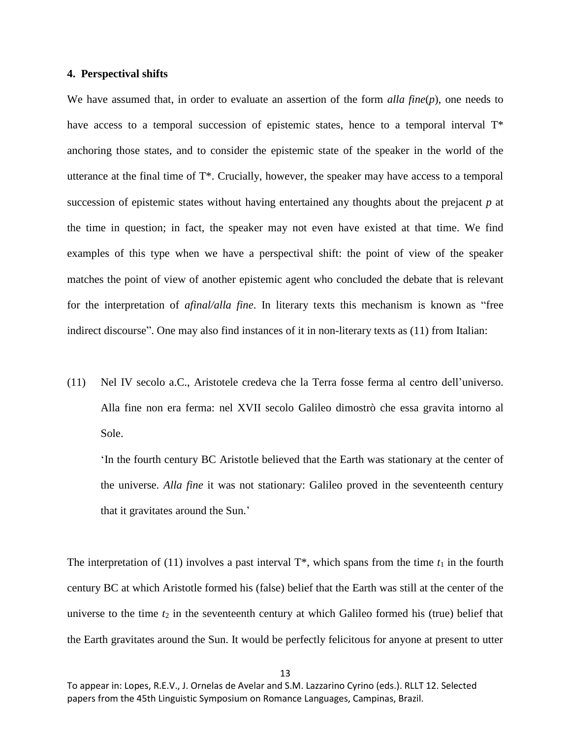## **4. Perspectival shifts**

We have assumed that, in order to evaluate an assertion of the form *alla fine*(*p*), one needs to have access to a temporal succession of epistemic states, hence to a temporal interval  $T^*$ anchoring those states, and to consider the epistemic state of the speaker in the world of the utterance at the final time of T\*. Crucially, however, the speaker may have access to a temporal succession of epistemic states without having entertained any thoughts about the prejacent *p* at the time in question; in fact, the speaker may not even have existed at that time. We find examples of this type when we have a perspectival shift: the point of view of the speaker matches the point of view of another epistemic agent who concluded the debate that is relevant for the interpretation of *afinal/alla fine*. In literary texts this mechanism is known as "free indirect discourse". One may also find instances of it in non-literary texts as (11) from Italian:

(11) Nel IV secolo a.C., Aristotele credeva che la Terra fosse ferma al centro dell'universo. Alla fine non era ferma: nel XVII secolo Galileo dimostrò che essa gravita intorno al Sole.

'In the fourth century BC Aristotle believed that the Earth was stationary at the center of the universe. *Alla fine* it was not stationary: Galileo proved in the seventeenth century that it gravitates around the Sun.'

The interpretation of (11) involves a past interval  $T^*$ , which spans from the time  $t_1$  in the fourth century BC at which Aristotle formed his (false) belief that the Earth was still at the center of the universe to the time  $t_2$  in the seventeenth century at which Galileo formed his (true) belief that the Earth gravitates around the Sun. It would be perfectly felicitous for anyone at present to utter

To appear in: Lopes, R.E.V., J. Ornelas de Avelar and S.M. Lazzarino Cyrino (eds.). RLLT 12. Selected papers from the 45th Linguistic Symposium on Romance Languages, Campinas, Brazil.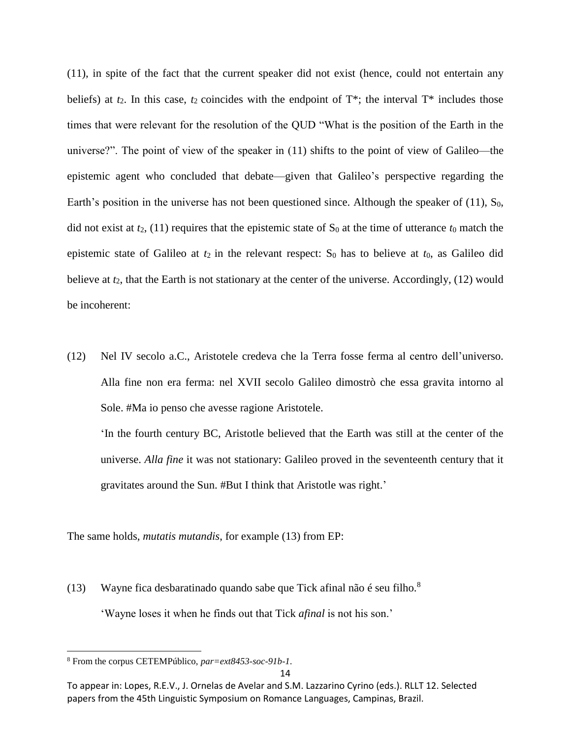(11), in spite of the fact that the current speaker did not exist (hence, could not entertain any beliefs) at  $t_2$ . In this case,  $t_2$  coincides with the endpoint of  $T^*$ ; the interval  $T^*$  includes those times that were relevant for the resolution of the QUD "What is the position of the Earth in the universe?". The point of view of the speaker in (11) shifts to the point of view of Galileo—the epistemic agent who concluded that debate—given that Galileo's perspective regarding the Earth's position in the universe has not been questioned since. Although the speaker of  $(11)$ , S<sub>0</sub>, did not exist at  $t_2$ , (11) requires that the epistemic state of  $S_0$  at the time of utterance  $t_0$  match the epistemic state of Galileo at  $t_2$  in the relevant respect:  $S_0$  has to believe at  $t_0$ , as Galileo did believe at *t*2, that the Earth is not stationary at the center of the universe. Accordingly, (12) would be incoherent:

(12) Nel IV secolo a.C., Aristotele credeva che la Terra fosse ferma al centro dell'universo. Alla fine non era ferma: nel XVII secolo Galileo dimostrò che essa gravita intorno al Sole. #Ma io penso che avesse ragione Aristotele.

'In the fourth century BC, Aristotle believed that the Earth was still at the center of the universe. *Alla fine* it was not stationary: Galileo proved in the seventeenth century that it gravitates around the Sun. #But I think that Aristotle was right.'

The same holds, *mutatis mutandis*, for example (13) from EP:

(13) Wayne fica desbaratinado quando sabe que Tick afinal não é seu filho.<sup>8</sup> 'Wayne loses it when he finds out that Tick *afinal* is not his son.'

 $\overline{\phantom{a}}$ 

<sup>8</sup> From the corpus CETEMPúblico, *par=ext8453-soc-91b-1*.

To appear in: Lopes, R.E.V., J. Ornelas de Avelar and S.M. Lazzarino Cyrino (eds.). RLLT 12. Selected papers from the 45th Linguistic Symposium on Romance Languages, Campinas, Brazil.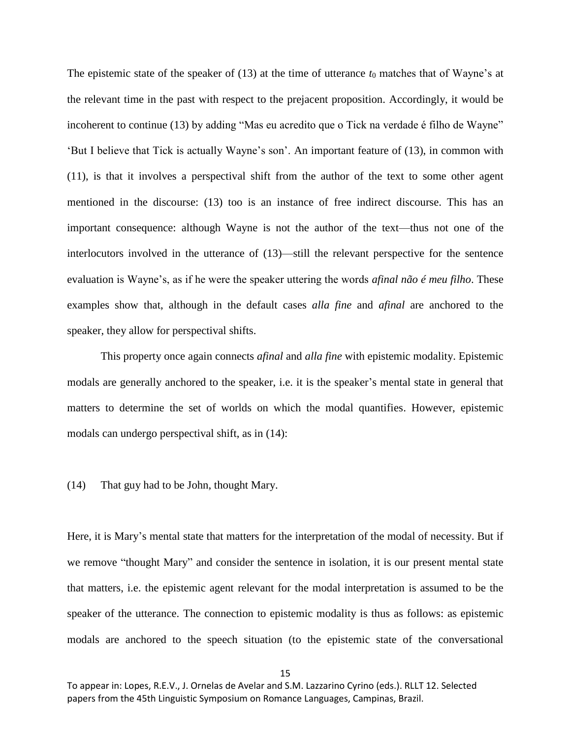The epistemic state of the speaker of  $(13)$  at the time of utterance  $t_0$  matches that of Wayne's at the relevant time in the past with respect to the prejacent proposition. Accordingly, it would be incoherent to continue (13) by adding "Mas eu acredito que o Tick na verdade é filho de Wayne" 'But I believe that Tick is actually Wayne's son'. An important feature of (13), in common with (11), is that it involves a perspectival shift from the author of the text to some other agent mentioned in the discourse: (13) too is an instance of free indirect discourse. This has an important consequence: although Wayne is not the author of the text—thus not one of the interlocutors involved in the utterance of (13)—still the relevant perspective for the sentence evaluation is Wayne's, as if he were the speaker uttering the words *afinal não é meu filho*. These examples show that, although in the default cases *alla fine* and *afinal* are anchored to the speaker, they allow for perspectival shifts.

This property once again connects *afinal* and *alla fine* with epistemic modality. Epistemic modals are generally anchored to the speaker, i.e. it is the speaker's mental state in general that matters to determine the set of worlds on which the modal quantifies. However, epistemic modals can undergo perspectival shift, as in (14):

(14) That guy had to be John, thought Mary.

Here, it is Mary's mental state that matters for the interpretation of the modal of necessity. But if we remove "thought Mary" and consider the sentence in isolation, it is our present mental state that matters, i.e. the epistemic agent relevant for the modal interpretation is assumed to be the speaker of the utterance. The connection to epistemic modality is thus as follows: as epistemic modals are anchored to the speech situation (to the epistemic state of the conversational

To appear in: Lopes, R.E.V., J. Ornelas de Avelar and S.M. Lazzarino Cyrino (eds.). RLLT 12. Selected papers from the 45th Linguistic Symposium on Romance Languages, Campinas, Brazil.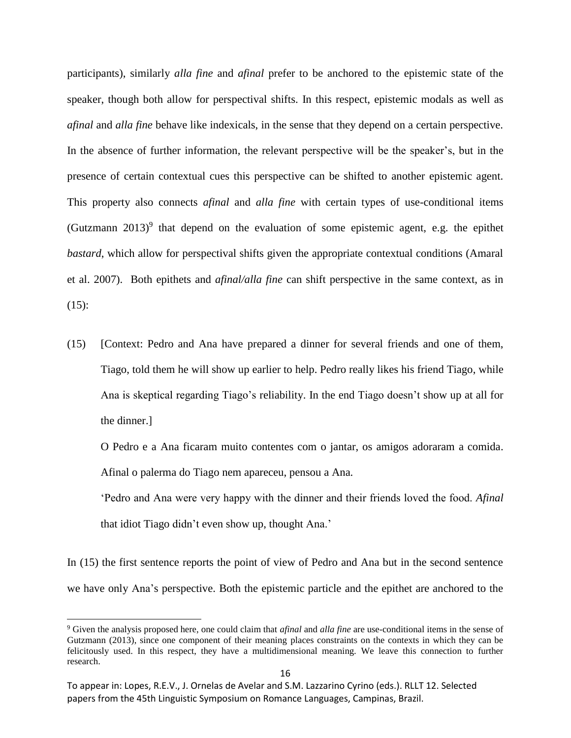participants), similarly *alla fine* and *afinal* prefer to be anchored to the epistemic state of the speaker, though both allow for perspectival shifts. In this respect, epistemic modals as well as *afinal* and *alla fine* behave like indexicals, in the sense that they depend on a certain perspective. In the absence of further information, the relevant perspective will be the speaker's, but in the presence of certain contextual cues this perspective can be shifted to another epistemic agent. This property also connects *afinal* and *alla fine* with certain types of use-conditional items (Gutzmann  $2013$ )<sup>9</sup> that depend on the evaluation of some epistemic agent, e.g. the epithet *bastard*, which allow for perspectival shifts given the appropriate contextual conditions (Amaral et al. 2007). Both epithets and *afinal/alla fine* can shift perspective in the same context, as in  $(15)$ :

(15) [Context: Pedro and Ana have prepared a dinner for several friends and one of them, Tiago, told them he will show up earlier to help. Pedro really likes his friend Tiago, while Ana is skeptical regarding Tiago's reliability. In the end Tiago doesn't show up at all for the dinner.]

O Pedro e a Ana ficaram muito contentes com o jantar, os amigos adoraram a comida. Afinal o palerma do Tiago nem apareceu, pensou a Ana.

'Pedro and Ana were very happy with the dinner and their friends loved the food. *Afinal*  that idiot Tiago didn't even show up, thought Ana.'

In (15) the first sentence reports the point of view of Pedro and Ana but in the second sentence we have only Ana's perspective. Both the epistemic particle and the epithet are anchored to the

l

<sup>9</sup> Given the analysis proposed here, one could claim that *afinal* and *alla fine* are use-conditional items in the sense of Gutzmann (2013), since one component of their meaning places constraints on the contexts in which they can be felicitously used. In this respect, they have a multidimensional meaning. We leave this connection to further research.

To appear in: Lopes, R.E.V., J. Ornelas de Avelar and S.M. Lazzarino Cyrino (eds.). RLLT 12. Selected papers from the 45th Linguistic Symposium on Romance Languages, Campinas, Brazil.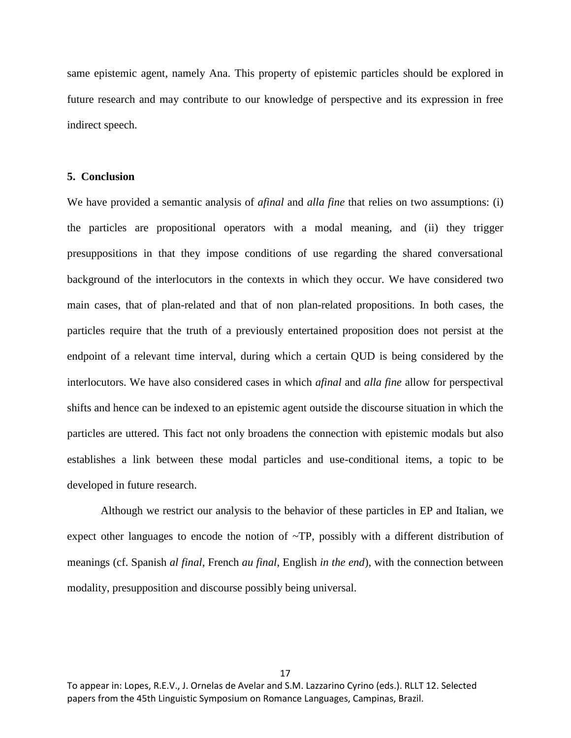same epistemic agent, namely Ana. This property of epistemic particles should be explored in future research and may contribute to our knowledge of perspective and its expression in free indirect speech.

# **5. Conclusion**

We have provided a semantic analysis of *afinal* and *alla fine* that relies on two assumptions: (i) the particles are propositional operators with a modal meaning, and (ii) they trigger presuppositions in that they impose conditions of use regarding the shared conversational background of the interlocutors in the contexts in which they occur. We have considered two main cases, that of plan-related and that of non plan-related propositions. In both cases, the particles require that the truth of a previously entertained proposition does not persist at the endpoint of a relevant time interval, during which a certain QUD is being considered by the interlocutors. We have also considered cases in which *afinal* and *alla fine* allow for perspectival shifts and hence can be indexed to an epistemic agent outside the discourse situation in which the particles are uttered. This fact not only broadens the connection with epistemic modals but also establishes a link between these modal particles and use-conditional items, a topic to be developed in future research.

Although we restrict our analysis to the behavior of these particles in EP and Italian, we expect other languages to encode the notion of  $\sim TP$ , possibly with a different distribution of meanings (cf. Spanish *al final*, French *au final*, English *in the end*), with the connection between modality, presupposition and discourse possibly being universal.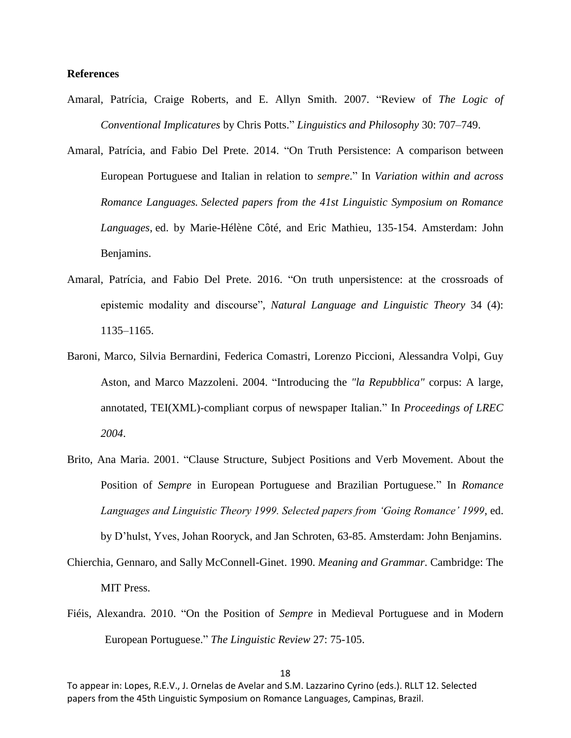# **References**

- Amaral, Patrícia, Craige Roberts, and E. Allyn Smith. 2007. "Review of *The Logic of Conventional Implicatures* by Chris Potts." *Linguistics and Philosophy* 30: 707–749.
- Amaral, Patrícia, and Fabio Del Prete. 2014. "On Truth Persistence: A comparison between European Portuguese and Italian in relation to *sempre*." In *Variation within and across Romance Languages. Selected papers from the 41st Linguistic Symposium on Romance Languages*, ed. by Marie-Hélène Côté, and Eric Mathieu, 135-154. Amsterdam: John Benjamins.
- Amaral, Patrícia, and Fabio Del Prete. 2016. "On truth unpersistence: at the crossroads of epistemic modality and discourse", *Natural Language and Linguistic Theory* 34 (4): 1135–1165.
- Baroni, Marco, Silvia Bernardini, Federica Comastri, Lorenzo Piccioni, Alessandra Volpi, Guy Aston, and Marco Mazzoleni. 2004. "Introducing the *"la Repubblica"* corpus: A large, annotated, TEI(XML)-compliant corpus of newspaper Italian." In *Proceedings of LREC 2004*.
- Brito, Ana Maria. 2001. "Clause Structure, Subject Positions and Verb Movement. About the Position of *Sempre* in European Portuguese and Brazilian Portuguese." In *Romance Languages and Linguistic Theory 1999. Selected papers from 'Going Romance' 1999*, ed.

by D'hulst, Yves, Johan Rooryck, and Jan Schroten, 63-85. Amsterdam: John Benjamins.

Chierchia, Gennaro, and Sally McConnell-Ginet. 1990. *Meaning and Grammar*. Cambridge: The MIT Press.

Fiéis, Alexandra. 2010. "On the Position of *Sempre* in Medieval Portuguese and in Modern European Portuguese." *The Linguistic Review* 27: 75-105.